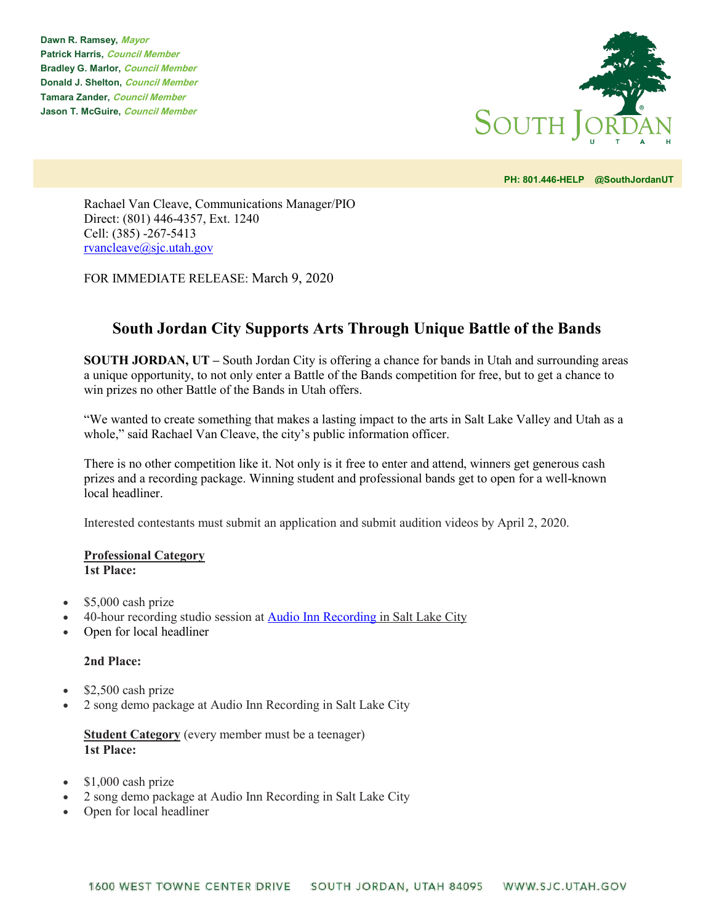**Dawn R. Ramsey, Mayor Patrick Harris, Council Member Bradley G. Marlor, Council Member Donald J. Shelton, Council Member Tamara Zander, Council Member Jason T. McGuire, Council Member**



**PH: 801.446-HELP @SouthJordanUT** 

Rachael Van Cleave, Communications Manager/PIO Direct: (801) 446-4357, Ext. 1240 Cell: (385) -267-5413 [rvancleave@sjc.utah.gov](mailto:rvancleave@sjc.utah.gov)

FOR IMMEDIATE RELEASE: March 9, 2020

## **South Jordan City Supports Arts Through Unique Battle of the Bands**

**SOUTH JORDAN, UT –** South Jordan City is offering a chance for bands in Utah and surrounding areas a unique opportunity, to not only enter a Battle of the Bands competition for free, but to get a chance to win prizes no other Battle of the Bands in Utah offers.

"We wanted to create something that makes a lasting impact to the arts in Salt Lake Valley and Utah as a whole," said Rachael Van Cleave, the city's public information officer.

There is no other competition like it. Not only is it free to enter and attend, winners get generous cash prizes and a recording package. Winning student and professional bands get to open for a well-known local headliner.

Interested contestants must submit an application and submit audition videos by April 2, 2020.

## **Professional Category 1st Place:**

- \$5,000 cash prize
- 40-hour recording studio session at [Audio Inn Recording](http://www.audioinnrecording.com/) [in Salt Lake City](http://www.audioinnrecording.com/)
- Open for local headliner

## **2nd Place:**

- \$2,500 cash prize
- 2 song demo package at Audio Inn Recording in Salt Lake City

**Student Category** (every member must be a teenager) **1st Place:**

- \$1,000 cash prize
- 2 song demo package at Audio Inn Recording in Salt Lake City
- Open for local headliner